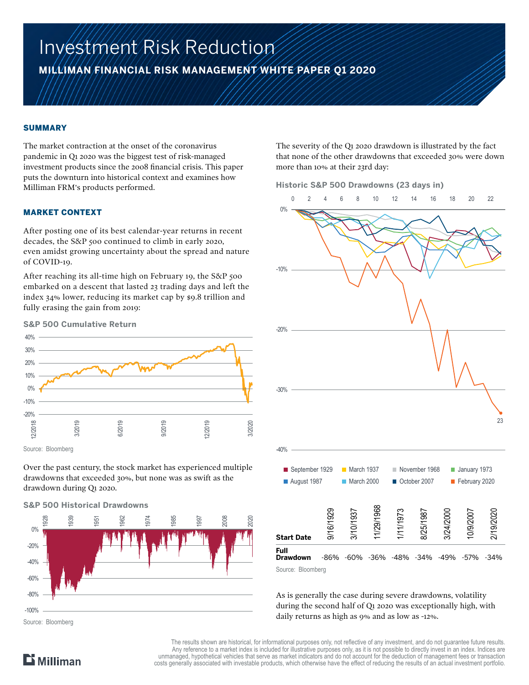# Investment Risk Reduction

**MILLIMAN FINANCIAL RISK MANAGEMENT WHITE PAPER Q1 2020**

#### SUMMARY

The market contraction at the onset of the coronavirus pandemic in Q1 2020 was the biggest test of risk-managed investment products since the 2008 financial crisis. This paper puts the downturn into historical context and examines how Milliman FRM's products performed.

#### MARKET CONTEXT

After posting one of its best calendar-year returns in recent decades, the S&P 500 continued to climb in early 2020, even amidst growing uncertainty about the spread and nature of COVID-19.

After reaching its all-time high on February 19, the S&P 500 embarked on a descent that lasted 23 trading days and left the index 34% lower, reducing its market cap by \$9.8 trillion and fully erasing the gain from 2019:



Source: Bloomberg

Over the past century, the stock market has experienced multiple drawdowns that exceeded 30%, but none was as swift as the drawdown during Q1 2020.

#### **S&P 500 Historical Drawdowns**



The severity of the Q1 2020 drawdown is illustrated by the fact that none of the other drawdowns that exceeded 30% were down more than 10% at their 23rd day:

#### **Historic S&P 500 Drawdowns (23 days in)**



As is generally the case during severe drawdowns, volatility

during the second half of Q1 2020 was exceptionally high, with daily returns as high as 9% and as low as -12%.

The results shown are historical, for informational purposes only, not reflective of any investment, and do not guarantee future results. Any reference to a market index is included for illustrative purposes only, as it is not possible to directly invest in an index. Indices are unmanaged, hypothetical vehicles that serve as market indicators and do not account for the deduction of management fees or transaction costs generally associated with investable products, which otherwise have the effect of reducing the results of an actual investment portfolio.

# $\mathbf{D}$  Milliman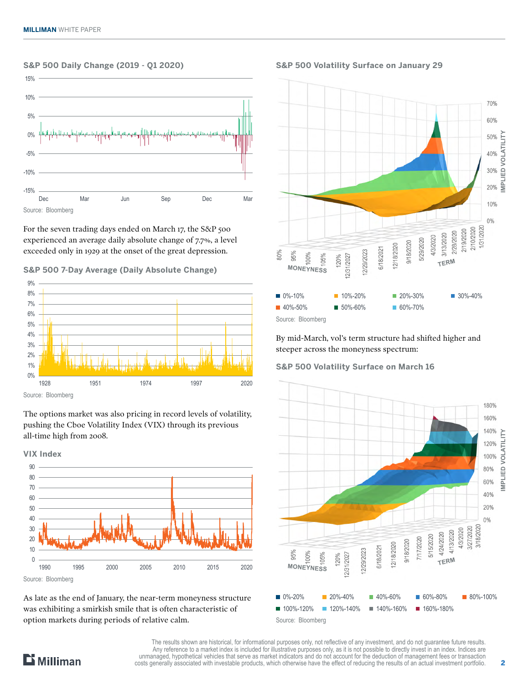#### **S&P 500 Daily Change (2019 - Q1 2020)**



For the seven trading days ended on March 17, the S&P 500 experienced an average daily absolute change of 7.7%, a level exceeded only in 1929 at the onset of the great depression.

**S&P 500 7-Day Average (Daily Absolute Change)**



Source: Bloomberg

The options market was also pricing in record levels of volatility, pushing the Cboe Volatility Index (VIX) through its previous all-time high from 2008.



As late as the end of January, the near-term moneyness structure was exhibiting a smirkish smile that is often characteristic of option markets during periods of relative calm.

**S&P 500 Volatility Surface on January 29**



By mid-March, vol's term structure had shifted higher and steeper across the moneyness spectrum:

#### **S&P 500 Volatility Surface on March 16**





The results shown are historical, for informational purposes only, not reflective of any investment, and do not guarantee future results. Any reference to a market index is included for illustrative purposes only, as it is not possible to directly invest in an index. Indices are unmanaged, hypothetical vehicles that serve as market indicators and do not account for the deduction of management fees or transaction costs generally associated with investable products, which otherwise have the effect of reducing the results of an actual investment portfolio.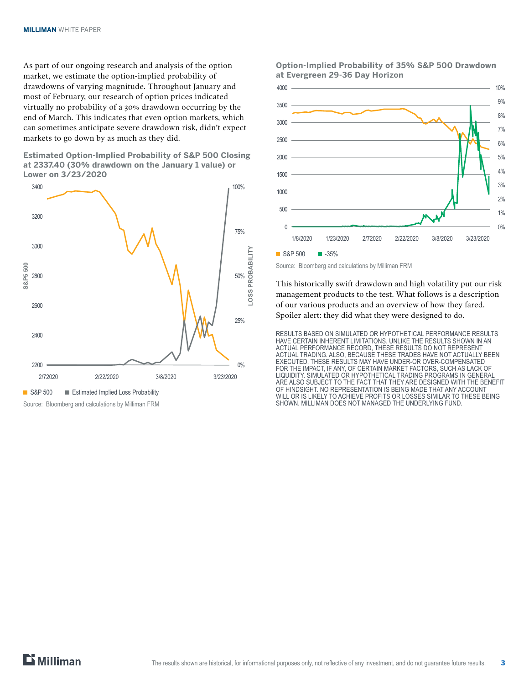As part of our ongoing research and analysis of the option market, we estimate the option-implied probability of drawdowns of varying magnitude. Throughout January and most of February, our research of option prices indicated virtually no probability of a 30% drawdown occurring by the end of March. This indicates that even option markets, which can sometimes anticipate severe drawdown risk, didn't expect markets to go down by as much as they did.

**Estimated Option-Implied Probability of S&P 500 Closing at 2337.40 (30% drawdown on the January 1 value) or Lower on 3/23/2020**



Source: Bloomberg and calculations by Milliman FRM

#### **Option-Implied Probability of 35% S&P 500 Drawdown at Evergreen 29-36 Day Horizon**



Source: Bloomberg and calculations by Milliman FRM

This historically swift drawdown and high volatility put our risk management products to the test. What follows is a description of our various products and an overview of how they fared. Spoiler alert: they did what they were designed to do.

RESULTS BASED ON SIMULATED OR HYPOTHETICAL PERFORMANCE RESULTS HAVE CERTAIN INHERENT LIMITATIONS. UNLIKE THE RESULTS SHOWN IN AN ACTUAL PERFORMANCE RECORD, THESE RESULTS DO NOT REPRESENT ACTUAL TRADING. ALSO, BECAUSE THESE TRADES HAVE NOT ACTUALLY BEEN EXECUTED, THESE RESULTS MAY HAVE UNDER-OR OVER-COMPENSATED FOR THE IMPACT, IF ANY, OF CERTAIN MARKET FACTORS, SUCH AS LACK OF LIQUIDITY. SIMULATED OR HYPOTHETICAL TRADING PROGRAMS IN GENERAL ARE ALSO SUBJECT TO THE FACT THAT THEY ARE DESIGNED WITH THE BENEFIT OF HINDSIGHT. NO REPRESENTATION IS BEING MADE THAT ANY ACCOUNT WILL OR IS LIKELY TO ACHIEVE PROFITS OR LOSSES SIMILAR TO THESE BEING SHOWN. MILLIMAN DOES NOT MANAGED THE UNDERLYING FUND.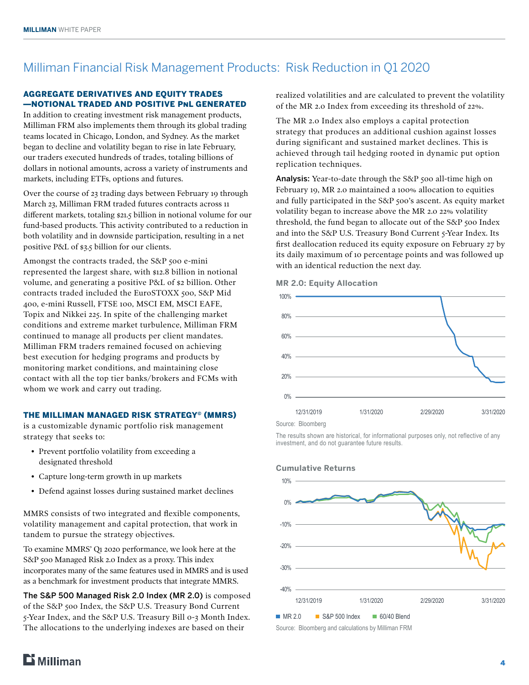## Milliman Financial Risk Management Products: Risk Reduction in Q1 2020

#### AGGREGATE DERIVATIVES AND EQUITY TRADES ―NOTIONAL TRADED AND POSITIVE PnL GENERATED

In addition to creating investment risk management products, Milliman FRM also implements them through its global trading teams located in Chicago, London, and Sydney. As the market began to decline and volatility began to rise in late February, our traders executed hundreds of trades, totaling billions of dollars in notional amounts, across a variety of instruments and markets, including ETFs, options and futures.

Over the course of 23 trading days between February 19 through March 23, Milliman FRM traded futures contracts across 11 different markets, totaling \$21.5 billion in notional volume for our fund-based products. This activity contributed to a reduction in both volatility and in downside participation, resulting in a net positive P&L of \$3.5 billion for our clients.

Amongst the contracts traded, the S&P 500 e-mini represented the largest share, with \$12.8 billion in notional volume, and generating a positive P&L of \$2 billion. Other contracts traded included the EuroSTOXX 500, S&P Mid 400, e-mini Russell, FTSE 100, MSCI EM, MSCI EAFE, Topix and Nikkei 225. In spite of the challenging market conditions and extreme market turbulence, Milliman FRM continued to manage all products per client mandates. Milliman FRM traders remained focused on achieving best execution for hedging programs and products by monitoring market conditions, and maintaining close contact with all the top tier banks/brokers and FCMs with whom we work and carry out trading.

#### THE MILLIMAN MANAGED RISK STRATEGY© (MMRS)

is a customizable dynamic portfolio risk management strategy that seeks to:

- Prevent portfolio volatility from exceeding a designated threshold
- Capture long-term growth in up markets
- Defend against losses during sustained market declines

MMRS consists of two integrated and flexible components, volatility management and capital protection, that work in tandem to pursue the strategy objectives.

To examine MMRS' Q1 2020 performance, we look here at the S&P 500 Managed Risk 2.0 Index as a proxy. This index incorporates many of the same features used in MMRS and is used as a benchmark for investment products that integrate MMRS.

The S&P 500 Managed Risk 2.0 Index (MR 2.0) is composed of the S&P 500 Index, the S&P U.S. Treasury Bond Current 5-Year Index, and the S&P U.S. Treasury Bill 0-3 Month Index. The allocations to the underlying indexes are based on their

realized volatilities and are calculated to prevent the volatility of the MR 2.0 Index from exceeding its threshold of 22%.

The MR 2.0 Index also employs a capital protection strategy that produces an additional cushion against losses during significant and sustained market declines. This is achieved through tail hedging rooted in dynamic put option replication techniques.

Analysis: Year-to-date through the S&P 500 all-time high on February 19, MR 2.0 maintained a 100% allocation to equities and fully participated in the S&P 500's ascent. As equity market volatility began to increase above the MR 2.0 22% volatility threshold, the fund began to allocate out of the S&P 500 Index and into the S&P U.S. Treasury Bond Current 5-Year Index. Its first deallocation reduced its equity exposure on February 27 by its daily maximum of 10 percentage points and was followed up with an identical reduction the next day.



**MR 2.0: Equity Allocation**

The results shown are historical, for informational purposes only, not reflective of any investment, and do not guarantee future results.



Source: Bloomberg and calculations by Milliman FRM

#### **Cumulative Returns**

# $E$  Milliman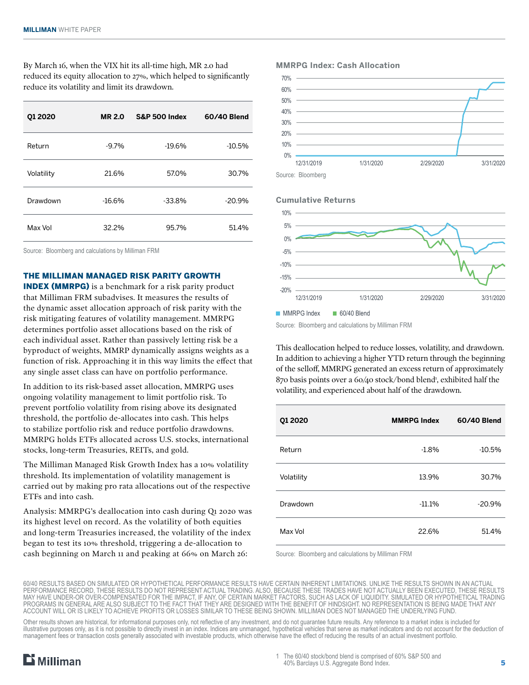By March 16, when the VIX hit its all-time high, MR 2.0 had reduced its equity allocation to 27%, which helped to significantly reduce its volatility and limit its drawdown.

| 01 20 20   | <b>MR 2.0</b> | <b>S&amp;P 500 Index</b> | 60/40 Blend |
|------------|---------------|--------------------------|-------------|
| Return     | $-9.7%$       | $-19.6%$                 | $-10.5%$    |
| Volatility | 21.6%         | 57.0%                    | 30.7%       |
| Drawdown   | $-16.6%$      | $-33.8%$                 | $-20.9%$    |
| Max Vol    | 32.2%         | 95.7%                    | 51.4%       |

Source: Bloomberg and calculations by Milliman FRM

THE MILLIMAN MANAGED RISK PARITY GROWTH

INDEX (MMRPG) is a benchmark for a risk parity product that Milliman FRM subadvises. It measures the results of the dynamic asset allocation approach of risk parity with the risk mitigating features of volatility management. MMRPG determines portfolio asset allocations based on the risk of each individual asset. Rather than passively letting risk be a byproduct of weights, MMRP dynamically assigns weights as a function of risk. Approaching it in this way limits the effect that any single asset class can have on portfolio performance.

In addition to its risk-based asset allocation, MMRPG uses ongoing volatility management to limit portfolio risk. To prevent portfolio volatility from rising above its designated threshold, the portfolio de-allocates into cash. This helps to stabilize portfolio risk and reduce portfolio drawdowns. MMRPG holds ETFs allocated across U.S. stocks, international stocks, long-term Treasuries, REITs, and gold.

The Milliman Managed Risk Growth Index has a 10% volatility threshold. Its implementation of volatility management is carried out by making pro rata allocations out of the respective ETFs and into cash.

Analysis: MMRPG's deallocation into cash during Q1 2020 was its highest level on record. As the volatility of both equities and long-term Treasuries increased, the volatility of the index began to test its 10% threshold, triggering a de-allocation to cash beginning on March 11 and peaking at 66% on March 26:

#### **MMRPG Index: Cash Allocation**



Source: Bloomberg

#### **Cumulative Returns**



Source: Bloomberg and calculations by Milliman FRM

This deallocation helped to reduce losses, volatility, and drawdown. In addition to achieving a higher YTD return through the beginning of the selloff, MMRPG generated an excess return of approximately 870 basis points over a 60/40 stock/bond blend<sup>1</sup>, exhibited half the volatility, and experienced about half of the drawdown.

| Q1 2020    | <b>MMRPG Index</b> | 60/40 Blend |
|------------|--------------------|-------------|
| Return     | $-1.8%$            | $-10.5%$    |
| Volatility | 13.9%              | 30.7%       |
| Drawdown   | $-11.1%$           | $-20.9%$    |
| Max Vol    | 22.6%              | 51.4%       |

Source: Bloomberg and calculations by Milliman FRM

Other results shown are historical, for informational purposes only, not reflective of any investment, and do not guarantee future results. Any reference to a market index is included for illustrative purposes only, as it is not possible to directly invest in an index. Indices are unmanaged, hypothetical vehicles that serve as market indicators and do not account for the deduction of management fees or transaction costs generally associated with investable products, which otherwise have the effect of reducing the results of an actual investment portfolio.



<sup>60/40</sup> RESULTS BASED ON SIMULATED OR HYPOTHETICAL PERFORMANCE RESULTS HAVE CERTAIN INHERENT LIMITATIONS. UNLIKE THE RESULTS SHOWN IN AN ACTUAL PERFORMANCE RECORD, THESE RESULTS DO NOT REPRESENT ACTUAL TRADING. ALSO, BECAUSE THESE TRADES HAVE NOT ACTUALLY BEEN EXECUTED, THESE RESULTS MAY HAVE UNDER-OR OVER-COMPENSATED FOR THE IMPACT, IF ANY, OF CERTAIN MARKET FACTORS, SUCH AS LACK OF LIQUIDITY. SIMULATED OR HYPOTHETICAL TRADING PROGRAMS IN GENERAL ARE ALSO SUBJECT TO THE FACT THAT THEY ARE DESIGNED WITH THE BENEFIT OF HINDSIGHT. NO REPRESENTATION IS BEING MADE THAT ANY ACCOUNT WILL OR IS LIKELY TO ACHIEVE PROFITS OR LOSSES SIMILAR TO THESE BEING SHOWN. MILLIMAN DOES NOT MANAGED THE UNDERLYING FUND.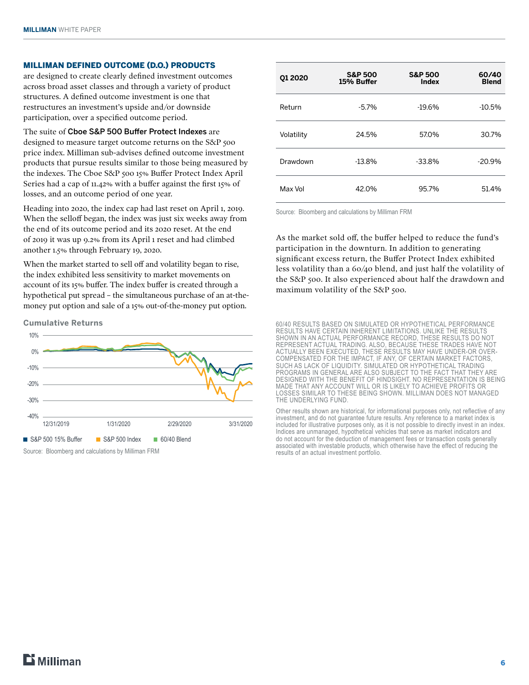#### MILLIMAN DEFINED OUTCOME (D.O.) PRODUCTS

are designed to create clearly defined investment outcomes across broad asset classes and through a variety of product structures. A defined outcome investment is one that restructures an investment's upside and/or downside participation, over a specified outcome period.

The suite of Cboe S&P 500 Buffer Protect Indexes are designed to measure target outcome returns on the S&P 500 price index. Milliman sub-advises defined outcome investment products that pursue results similar to those being measured by the indexes. The Cboe S&P 500 15% Buffer Protect Index April Series had a cap of 11.42% with a buffer against the first 15% of losses, and an outcome period of one year.

Heading into 2020, the index cap had last reset on April 1, 2019. When the selloff began, the index was just six weeks away from the end of its outcome period and its 2020 reset. At the end of 2019 it was up 9.2% from its April 1 reset and had climbed another 1.5% through February 19, 2020.

When the market started to sell off and volatility began to rise, the index exhibited less sensitivity to market movements on account of its 15% buffer. The index buffer is created through a hypothetical put spread – the simultaneous purchase of an at-themoney put option and sale of a 15% out-of-the-money put option.

**Cumulative Returns**



**Q1 2020 S&P 500 15% Buffer S&P 500 Index 60/40 Blend** Return -5.7% -19.6% -10.5% Volatility 24.5% 57.0% 30.7% Drawdown -13.8% -33.8% -20.9% Max Vol 42.0% 95.7% 51.4%

Source: Bloomberg and calculations by Milliman FRM

As the market sold off, the buffer helped to reduce the fund's participation in the downturn. In addition to generating significant excess return, the Buffer Protect Index exhibited less volatility than a 60/40 blend, and just half the volatility of the S&P 500. It also experienced about half the drawdown and maximum volatility of the S&P 500.

60/40 RESULTS BASED ON SIMULATED OR HYPOTHETICAL PERFORMANCE RESULTS HAVE CERTAIN INHERENT LIMITATIONS. UNLIKE THE RESULTS SHOWN IN AN ACTUAL PERFORMANCE RECORD, THESE RESULTS DO NOT REPRESENT ACTUAL TRADING. ALSO, BECAUSE THESE TRADES HAVE NOT ACTUALLY BEEN EXECUTED, THESE RESULTS MAY HAVE UNDER-OR OVER-COMPENSATED FOR THE IMPACT, IF ANY, OF CERTAIN MARKET FACTORS, SUCH AS LACK OF LIQUIDITY. SIMULATED OR HYPOTHETICAL TRADING PROGRAMS IN GENERAL ARE ALSO SUBJECT TO THE FACT THAT THEY ARE DESIGNED WITH THE BENEFIT OF HINDSIGHT. NO REPRESENTATION IS BEING MADE THAT ANY ACCOUNT WILL OR IS LIKELY TO ACHIEVE PROFITS OR LOSSES SIMILAR TO THESE BEING SHOWN. MILLIMAN DOES NOT MANAGED THE UNDERLYING FUND.

Other results shown are historical, for informational purposes only, not reflective of any investment, and do not guarantee future results. Any reference to a market index is included for illustrative purposes only, as it is not possible to directly invest in an index. Indices are unmanaged, hypothetical vehicles that serve as market indicators and do not account for the deduction of management fees or transaction costs generally associated with investable products, which otherwise have the effect of reducing the results of an actual investment portfolio.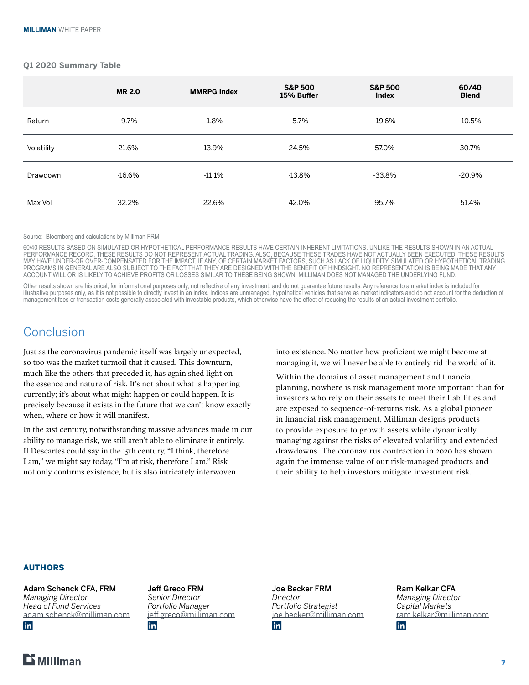#### **Q1 2020 Summary Table**

|            | <b>MR 2.0</b> | <b>MMRPG Index</b> | <b>S&amp;P 500</b><br>15% Buffer | <b>S&amp;P 500</b><br>Index | 60/40<br><b>Blend</b> |
|------------|---------------|--------------------|----------------------------------|-----------------------------|-----------------------|
| Return     | $-9.7\%$      | $-1.8%$            | $-5.7\%$                         | $-19.6%$                    | $-10.5%$              |
| Volatility | 21.6%         | 13.9%              | 24.5%                            | 57.0%                       | 30.7%                 |
| Drawdown   | $-16.6%$      | $-11.1\%$          | $-13.8%$                         | $-33.8%$                    | $-20.9%$              |
| Max Vol    | 32.2%         | 22.6%              | 42.0%                            | 95.7%                       | 51.4%                 |
|            |               |                    |                                  |                             |                       |

Source: Bloomberg and calculations by Milliman FRM

60/40 RESULTS BASED ON SIMULATED OR HYPOTHETICAL PERFORMANCE RESULTS HAVE CERTAIN INHERENT LIMITATIONS. UNLIKE THE RESULTS SHOWN IN AN ACTUAL PERFORMANCE RECORD, THESE RESULTS DO NOT REPRESENT ACTUAL TRADING. ALSO, BECAUSE THESE TRADES HAVE NOT ACTUALLY BEEN EXECUTED, THESE RESULTS MAY HAVE UNDER-OR OVER-COMPENSATED FOR THE IMPACT, IF ANY, OF CERTAIN MARKET FACTORS, SUCH AS LACK OF LIQUIDITY. SIMULATED OR HYPOTHETICAL TRADING PROGRAMS IN GENERAL ARE ALSO SUBJECT TO THE FACT THAT THEY ARE DESIGNED WITH THE BENEFIT OF HINDSIGHT. NO REPRESENTATION IS BEING MADE THAT ANY ACCOUNT WILL OR IS LIKELY TO ACHIEVE PROFITS OR LOSSES SIMILAR TO THESE BEING SHOWN. MILLIMAN DOES NOT MANAGED THE UNDERLYING FUND.

Other results shown are historical, for informational purposes only, not reflective of any investment, and do not quarantee future results. Any reference to a market index is included for illustrative purposes only, as it is not possible to directly invest in an index. Indices are unmanaged, hypothetical vehicles that serve as market indicators and do not account for the deduction of management fees or transaction costs generally associated with investable products, which otherwise have the effect of reducing the results of an actual investment portfolio.

## **Conclusion**

Just as the coronavirus pandemic itself was largely unexpected, so too was the market turmoil that it caused. This downturn, much like the others that preceded it, has again shed light on the essence and nature of risk. It's not about what is happening currently; it's about what might happen or could happen. It is precisely because it exists in the future that we can't know exactly when, where or how it will manifest.

In the 21st century, notwithstanding massive advances made in our ability to manage risk, we still aren't able to eliminate it entirely. If Descartes could say in the 15th century, "I think, therefore I am," we might say today, "I'm at risk, therefore I am." Risk not only confirms existence, but is also intricately interwoven

into existence. No matter how proficient we might become at managing it, we will never be able to entirely rid the world of it.

Within the domains of asset management and financial planning, nowhere is risk management more important than for investors who rely on their assets to meet their liabilities and are exposed to sequence-of-returns risk. As a global pioneer in financial risk management, Milliman designs products to provide exposure to growth assets while dynamically managing against the risks of elevated volatility and extended drawdowns. The coronavirus contraction in 2020 has shown again the immense value of our risk-managed products and their ability to help investors mitigate investment risk.

#### AUTHORS

Adam Schenck CFA, FRM *Managing Director Head of Fund Services* [adam.schenck@milliman.com](mailto:adam.schenck%40milliman.com%20?subject=Strategies%20Risk%20Reduction) **in** 



Jeff Greco FRM *Senior Director Portfolio Manager* [jeff.greco@milliman.com](mailto:jeff.greco%40milliman.com?subject=Strategies%20Risk%20Reduction) *in* 

Joe Becker FRM *Director Portfolio Strategist* [joe.becker@milliman.com](mailto:joe.becker%40milliman.com?subject=Strategies%20Risk%20Reduction) **in** 

Ram Kelkar CFA *Managing Director Capital Markets* [ram.kelkar@milliman.com](mailto:ram.kelkar%40milliman.com?subject=Strategies%20Risk%20Reduction) in